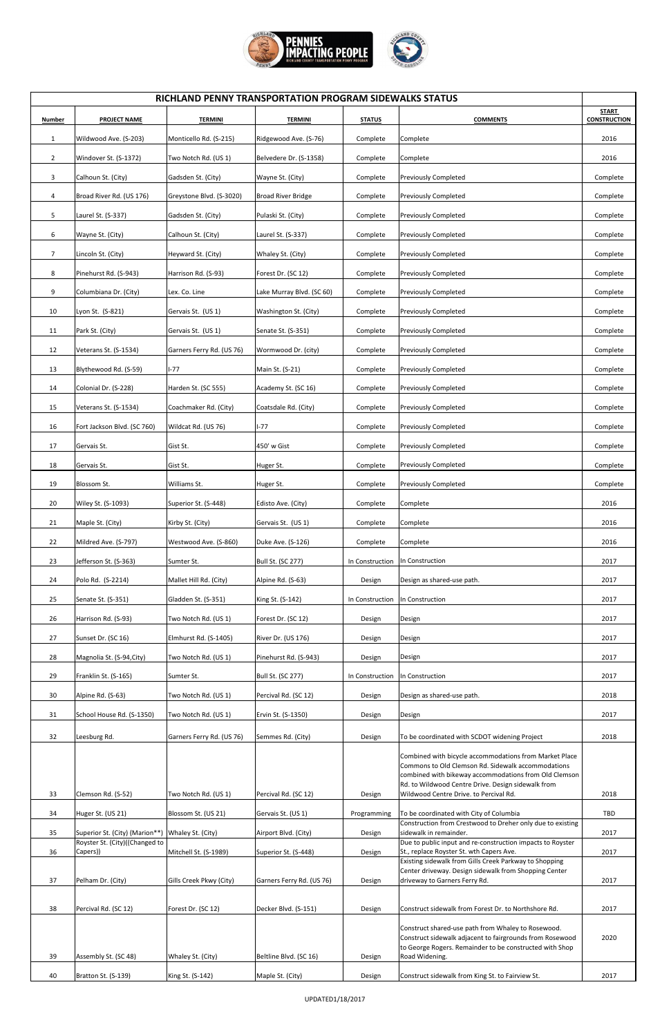

| RICHLAND PENNY TRANSPORTATION PROGRAM SIDEWALKS STATUS |                             |                           |                           |                 |                                                                                                         |                                     |
|--------------------------------------------------------|-----------------------------|---------------------------|---------------------------|-----------------|---------------------------------------------------------------------------------------------------------|-------------------------------------|
| Number                                                 | <b>PROJECT NAME</b>         | <b>TERMINI</b>            | <b>TERMINI</b>            | <b>STATUS</b>   | <b>COMMENTS</b>                                                                                         | <b>START</b><br><b>CONSTRUCTION</b> |
| $\mathbf{1}$                                           | Wildwood Ave. (S-203)       | Monticello Rd. (S-215)    | Ridgewood Ave. (S-76)     | Complete        | Complete                                                                                                | 2016                                |
| $\overline{2}$                                         | Windover St. (S-1372)       | Two Notch Rd. (US 1)      | Belvedere Dr. (S-1358)    | Complete        | Complete                                                                                                | 2016                                |
| 3                                                      | Calhoun St. (City)          | Gadsden St. (City)        | Wayne St. (City)          | Complete        | <b>Previously Completed</b>                                                                             | Complete                            |
| 4                                                      | Broad River Rd. (US 176)    | Greystone Blvd. (S-3020)  | <b>Broad River Bridge</b> | Complete        | <b>Previously Completed</b>                                                                             | Complete                            |
| 5                                                      | Laurel St. (S-337)          | Gadsden St. (City)        | Pulaski St. (City)        | Complete        | <b>Previously Completed</b>                                                                             | Complete                            |
| 6                                                      | Wayne St. (City)            | Calhoun St. (City)        | Laurel St. (S-337)        | Complete        | Previously Completed                                                                                    | Complete                            |
| $\overline{7}$                                         | Lincoln St. (City)          | Heyward St. (City)        | Whaley St. (City)         | Complete        | <b>Previously Completed</b>                                                                             | Complete                            |
| 8                                                      | Pinehurst Rd. (S-943)       | Harrison Rd. (S-93)       | Forest Dr. (SC 12)        | Complete        | <b>Previously Completed</b>                                                                             | Complete                            |
| 9                                                      | Columbiana Dr. (City)       | Lex. Co. Line             | Lake Murray Blvd. (SC 60) | Complete        | <b>Previously Completed</b>                                                                             | Complete                            |
| 10                                                     | Lyon St. (S-821)            | Gervais St. (US 1)        | Washington St. (City)     | Complete        | Previously Completed                                                                                    | Complete                            |
| 11                                                     | Park St. (City)             | Gervais St. (US 1)        | Senate St. (S-351)        | Complete        | <b>Previously Completed</b>                                                                             | Complete                            |
| 12                                                     | Veterans St. (S-1534)       | Garners Ferry Rd. (US 76) | Wormwood Dr. (city)       | Complete        | <b>Previously Completed</b>                                                                             | Complete                            |
| 13                                                     | Blythewood Rd. (S-59)       | $I-77$                    | Main St. (S-21)           | Complete        | <b>Previously Completed</b>                                                                             | Complete                            |
| 14                                                     | Colonial Dr. (S-228)        | Harden St. (SC 555)       | Academy St. (SC 16)       | Complete        | <b>Previously Completed</b>                                                                             | Complete                            |
| 15                                                     | Veterans St. (S-1534)       | Coachmaker Rd. (City)     | Coatsdale Rd. (City)      | Complete        | Previously Completed                                                                                    | Complete                            |
| 16                                                     | Fort Jackson Blvd. (SC 760) | Wildcat Rd. (US 76)       | $I-77$                    | Complete        | <b>Previously Completed</b>                                                                             | Complete                            |
| 17                                                     | Gervais St.                 | Gist St.                  | 450' w Gist               | Complete        | <b>Previously Completed</b>                                                                             | Complete                            |
| 18                                                     | Gervais St.                 | Gist St.                  | Huger St.                 | Complete        | Previously Completed                                                                                    | Complete                            |
| 19                                                     | Blossom St.                 | Williams St.              | Huger St.                 | Complete        | <b>Previously Completed</b>                                                                             | Complete                            |
| 20                                                     | Wiley St. (S-1093)          | Superior St. (S-448)      | Edisto Ave. (City)        | Complete        | Complete                                                                                                | 2016                                |
| 21                                                     | Maple St. (City)            | Kirby St. (City)          | Gervais St. (US 1)        | Complete        | Complete                                                                                                | 2016                                |
| 22                                                     | Mildred Ave. (S-797)        | Westwood Ave. (S-860)     | Duke Ave. (S-126)         | Complete        | Complete                                                                                                | 2016                                |
| 23                                                     | Jefferson St. (S-363)       | Sumter St.                | <b>Bull St. (SC 277)</b>  | In Construction | In Construction                                                                                         | 2017                                |
| 24                                                     | Polo Rd. (S-2214)           | Mallet Hill Rd. (City)    | Alpine Rd. (S-63)         | Design          | Design as shared-use path.                                                                              | 2017                                |
| 25                                                     | Senate St. (S-351)          | Gladden St. (S-351)       | King St. (S-142)          | In Construction | In Construction                                                                                         | 2017                                |
| 26                                                     | Harrison Rd. (S-93)         | Two Notch Rd. (US 1)      | Forest Dr. (SC 12)        | Design          | Design                                                                                                  | 2017                                |
| 27                                                     | Sunset Dr. (SC 16)          | Elmhurst Rd. (S-1405)     | River Dr. (US 176)        | Design          | Design                                                                                                  | 2017                                |
| 28                                                     | Magnolia St. (S-94, City)   | Two Notch Rd. (US 1)      | Pinehurst Rd. (S-943)     | Design          | Design                                                                                                  | 2017                                |
| 29                                                     | Franklin St. (S-165)        | Sumter St.                | Bull St. (SC 277)         | In Construction | In Construction                                                                                         | 2017                                |
| 30                                                     | Alpine Rd. (S-63)           | Two Notch Rd. (US 1)      | Percival Rd. (SC 12)      | Design          | Design as shared-use path.                                                                              | 2018                                |
| 31                                                     | School House Rd. (S-1350)   | Two Notch Rd. (US 1)      | Ervin St. (S-1350)        | Design          | Design                                                                                                  | 2017                                |
|                                                        |                             |                           |                           |                 |                                                                                                         |                                     |
| 32                                                     | Leesburg Rd.                | Garners Ferry Rd. (US 76) | Semmes Rd. (City)         | Design          | To be coordinated with SCDOT widening Project<br>Combined with bicycle accommodations from Market Place | 2018                                |

|    |                                |                         |                           |             | Commons to Old Clemson Rd. Sidewalk accommodations         |            |
|----|--------------------------------|-------------------------|---------------------------|-------------|------------------------------------------------------------|------------|
|    |                                |                         |                           |             | combined with bikeway accommodations from Old Clemson      |            |
|    |                                |                         |                           |             | Rd. to Wildwood Centre Drive. Design sidewalk from         |            |
| 33 | Clemson Rd. (S-52)             | Two Notch Rd. (US 1)    | Percival Rd. (SC 12)      | Design      | Wildwood Centre Drive. to Percival Rd.                     | 2018       |
|    |                                |                         |                           |             |                                                            |            |
| 34 | Huger St. (US 21)              | Blossom St. (US 21)     | Gervais St. (US 1)        | Programming | To be coordinated with City of Columbia                    | <b>TBD</b> |
|    |                                |                         |                           |             | Construction from Crestwood to Dreher only due to existing |            |
| 35 | Superior St. (City) (Marion**) | Whaley St. (City)       | Airport Blvd. (City)      | Design      | lsidewalk in remainder.                                    | 2017       |
|    | Royster St. (City)((Changed to |                         |                           |             | Due to public input and re-construction impacts to Royster |            |
| 36 | Capers))                       | Mitchell St. (S-1989)   | Superior St. (S-448)      | Design      | St., replace Royster St. wth Capers Ave.                   | 2017       |
|    |                                |                         |                           |             | Existing sidewalk from Gills Creek Parkway to Shopping     |            |
|    |                                |                         |                           |             | Center driveway. Design sidewalk from Shopping Center      |            |
| 37 | Pelham Dr. (City)              | Gills Creek Pkwy (City) | Garners Ferry Rd. (US 76) | Design      | driveway to Garners Ferry Rd.                              | 2017       |
|    |                                |                         |                           |             |                                                            |            |
|    |                                |                         |                           |             |                                                            |            |
| 38 | Percival Rd. (SC 12)           | Forest Dr. (SC 12)      | Decker Blvd. (S-151)      | Design      | Construct sidewalk from Forest Dr. to Northshore Rd.       | 2017       |
|    |                                |                         |                           |             |                                                            |            |
|    |                                |                         |                           |             | Construct shared-use path from Whaley to Rosewood.         |            |
|    |                                |                         |                           |             | Construct sidewalk adjacent to fairgrounds from Rosewood   | 2020       |
|    |                                |                         |                           |             | to George Rogers. Remainder to be constructed with Shop    |            |
| 39 | Assembly St. (SC 48)           | Whaley St. (City)       | Beltline Blvd. (SC 16)    | Design      | Road Widening.                                             |            |
|    |                                |                         |                           |             |                                                            |            |
| 40 | Bratton St. (S-139)            | King St. (S-142)        | Maple St. (City)          | Design      | Construct sidewalk from King St. to Fairview St.           | 2017       |